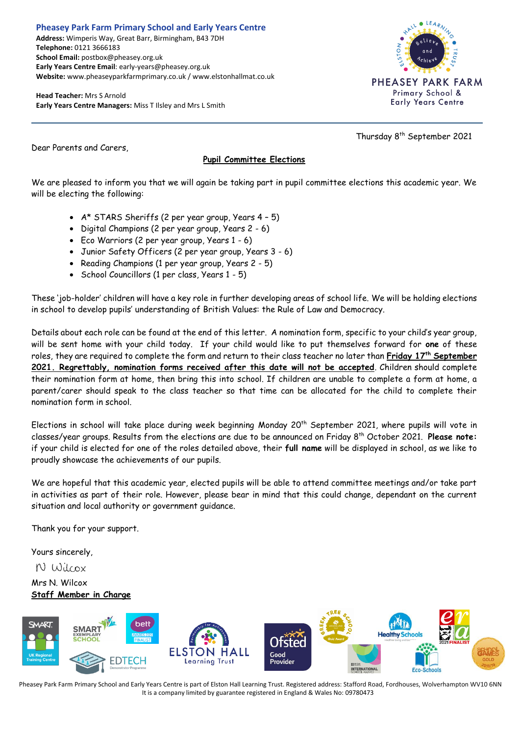## **Pheasey Park Farm Primary School and Early Years Centre Address:** Wimperis Way, Great Barr, Birmingham, B43 7DH

**Telephone:** 0121 3666183 **School Email:** postbox@pheasey.org.uk **Early Years Centre Email**: early-years@pheasey.org.uk **Website:** www.pheaseyparkfarmprimary.co.uk / www.elstonhallmat.co.uk

**Head Teacher:** Mrs S Arnold **Early Years Centre Managers:** Miss T Ilsley and Mrs L Smith



Thursday 8th September 2021

Dear Parents and Carers,

## **Pupil Committee Elections**

We are pleased to inform you that we will again be taking part in pupil committee elections this academic year. We will be electing the following:

- A\* STARS Sheriffs (2 per year group, Years 4 5)
- Digital Champions (2 per year group, Years 2 6)
- Eco Warriors (2 per year group, Years 1 6)
- Junior Safety Officers (2 per year group, Years 3 6)
- Reading Champions (1 per year group, Years 2 5)
- School Councillors (1 per class, Years 1 5)

These 'job-holder' children will have a key role in further developing areas of school life. We will be holding elections in school to develop pupils' understanding of British Values: the Rule of Law and Democracy.

Details about each role can be found at the end of this letter. A nomination form, specific to your child's year group, will be sent home with your child today. If your child would like to put themselves forward for **one** of these roles, they are required to complete the form and return to their class teacher no later than **Friday 17th September 2021. Regrettably, nomination forms received after this date will not be accepted**. Children should complete their nomination form at home, then bring this into school. If children are unable to complete a form at home, a parent/carer should speak to the class teacher so that time can be allocated for the child to complete their nomination form in school.

Elections in school will take place during week beginning Monday 20<sup>th</sup> September 2021, where pupils will vote in classes/year groups. Results from the elections are due to be announced on Friday 8 th October 2021. **Please note:** if your child is elected for one of the roles detailed above, their **full name** will be displayed in school, as we like to proudly showcase the achievements of our pupils.

We are hopeful that this academic year, elected pupils will be able to attend committee meetings and/or take part in activities as part of their role. However, please bear in mind that this could change, dependant on the current situation and local authority or government guidance.

Thank you for your support.

Yours sincerely,

N Wilcox

Mrs N. Wilcox **Staff Member in Charge**



Pheasey Park Farm Primary School and Early Years Centre is part of Elston Hall Learning Trust. Registered address: Stafford Road, Fordhouses, Wolverhampton WV10 6NN It is a company limited by guarantee registered in England & Wales No: 09780473